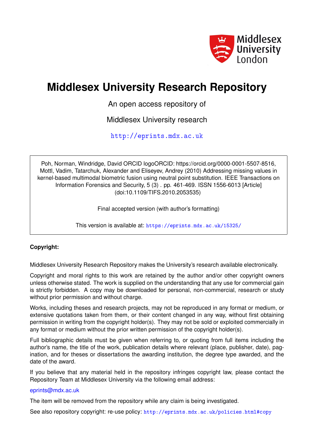

## **Middlesex University Research Repository**

An open access repository of

Middlesex University research

<http://eprints.mdx.ac.uk>

Poh, Norman, Windridge, David ORCID logoORCID: https://orcid.org/0000-0001-5507-8516, Mottl, Vadim, Tatarchuk, Alexander and Eliseyev, Andrey (2010) Addressing missing values in kernel-based multimodal biometric fusion using neutral point substitution. IEEE Transactions on Information Forensics and Security, 5 (3) . pp. 461-469. ISSN 1556-6013 [Article] (doi:10.1109/TIFS.2010.2053535)

Final accepted version (with author's formatting)

This version is available at: <https://eprints.mdx.ac.uk/15325/>

## **Copyright:**

Middlesex University Research Repository makes the University's research available electronically.

Copyright and moral rights to this work are retained by the author and/or other copyright owners unless otherwise stated. The work is supplied on the understanding that any use for commercial gain is strictly forbidden. A copy may be downloaded for personal, non-commercial, research or study without prior permission and without charge.

Works, including theses and research projects, may not be reproduced in any format or medium, or extensive quotations taken from them, or their content changed in any way, without first obtaining permission in writing from the copyright holder(s). They may not be sold or exploited commercially in any format or medium without the prior written permission of the copyright holder(s).

Full bibliographic details must be given when referring to, or quoting from full items including the author's name, the title of the work, publication details where relevant (place, publisher, date), pagination, and for theses or dissertations the awarding institution, the degree type awarded, and the date of the award.

If you believe that any material held in the repository infringes copyright law, please contact the Repository Team at Middlesex University via the following email address:

## [eprints@mdx.ac.uk](mailto:eprints@mdx.ac.uk)

The item will be removed from the repository while any claim is being investigated.

See also repository copyright: re-use policy: <http://eprints.mdx.ac.uk/policies.html#copy>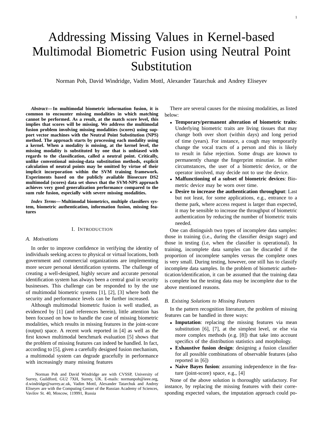# Addressing Missing Values in Kernel-based Multimodal Biometric Fusion using Neutral Point Substitution

Norman Poh, David Windridge, Vadim Mottl, Alexander Tatarchuk and Andrey Eliseyev

*Abstract***— In multimodal biometric information fusion, it is common to encounter missing modalities in which matching cannot be performed. As a result, at the match score level, this implies that scores will be missing. We address the multimodal fusion problem involving missing modalities (scores) using support vector machines with the Neutral Point Substitution (NPS) method. The approach starts by processing each modality using a kernel. When a modality is missing, at the kernel level, the missing modality is substituted by one that is unbiased with regards to the classification, called a neutral point. Critically, unlike conventional missing-data substitution methods, explicit calculation of neutral points may be omitted by virtue of their implicit incorporation within the SVM training framework. Experiments based on the publicly available Biosecure DS2 multimodal (scores) data set shows that the SVM-NPS approach achieves very good generalization performance compared to the sum rule fusion, especially with severe missing modalities.**

*Index Terms***— Multimodal biometrics, multiple classifiers system, biometric authentication, information fusion, missing features**

#### I. INTRODUCTION

#### *A. Motivations*

In order to improve confidence in verifying the identity of individuals seeking access to physical or virtual locations, both government and commercial organizations are implementing more secure personal identification systems. The challenge of creating a well-designed, highly secure and accurate personal identification system has always been a central goal in security businesses. This challenge can be responded to by the use of multimodal biometric systems [1], [2], [3] where both the security and performance levels can be further increased.

Although multimodal biometric fusion is well studied, as evidenced by [1] (and references herein), little attention has been focused on how to handle the case of missing biometric modalities, which results in missing features in the joint-score (output) space. A recent work reported in [4] as well as the first known multimodal benchmark evaluation [5] shows that the problem of missing features can indeed be handled. In fact, according to [5], given a carefully designed fusion mechanism, a multimodal system can degrade gracefully in performance with increasingly many missing features

There are several causes for the missing modalities, as listed below:

- **Temporary/permanent alteration of biometric traits**: Underlying biometric traits are living tissues that may change both over short (within days) and long period of time (years). For instance, a cough may temporarily change the vocal tracts of a person and this is likely to result in false rejection. Some drugs are known to permanently change the fingerprint minutiae. In either circumstances, the user of a biometric device, or the operator involved, may decide not to use the device.
- **Malfunctioning of a subset of biometric devices**: Biometric device may be worn over time.
- **Desire to increase the authentication throughput**: Last but not least, for some applications, e.g., entrance to a theme park, where access request is larger than expected, it may be sensible to increase the throughput of biometric authentication by reducing the number of biometric traits needed.

One can distinguish two types of incomplete data samples: those in training (i.e., during the classifier design stage) and those in testing (i.e, when the classifier is operational). In training, incomplete data samples can be discarded if the proportion of incomplete samples versus the complete ones is very small. During testing, however, one still has to classify incomplete data samples. In the problem of biometric authentication/identification, it can be assumed that the training data is complete but the testing data may be incomplete due to the above mentioned reasons.

#### *B. Existing Solutions to Missing Features*

In the pattern recognition literature, the problem of missing features can be handled in three ways:

- **Imputation**: replacing the missing features via mean substitution [6], [7], at the simplest level, or else via more complex methods (e.g. [8]) that take into account specifics of the distribution statistics and morphology.
- **Exhaustive fusion design**: designing a fusion classifier for all possible combinations of observable features (also reported in [6])
- **Naive Bayes fusion**: assuming independence in the feature (joint-score) space, e.g., [4]

None of the above solution is thoroughly satisfactory. For instance, by replacing the missing features with their corresponding expected values, the imputation approach could po-

Norman Poh and David Windridge are with CVSSP, University of Surrey, Guildford, GU2 7XH, Surrey, UK. E-mails: normanpoh@ieee.org, d.windridge@surrey.ac.uk, Vadim Mottl, Alexander Tatarchuk and Andrey Eliseyev are with the Computing Center of the Russian Academy of Sciences, Vavilov St. 40, Moscow, 119991, Russia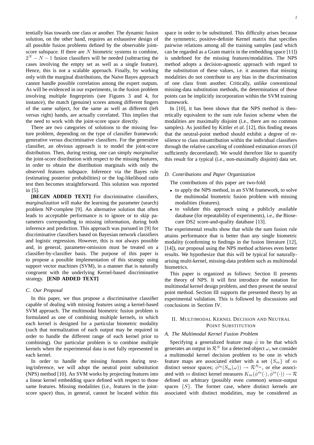tentially bias towards one class or another. The dynamic fusion solution, on the other hand, requires an exhaustive design of all possible fusion problems defined by the observable jointscore subspace. If there are N biometric systems to combine,  $2^N - N - 1$  fusion classifiers will be needed (subtracting the cases involving the empty set as well as a single feature). Hence, this is not a scalable approach. Finally, by working only with the marginal distributions, the Naive Bayes approach cannot handle possible correlation among the expert outputs. As will be evidenced in our experiments, in the fusion problem involving multiple fingerprints (see Figures 3 and 4, for instance), the match (genuine) scores among different fingers of the same subject, for the same as well as different (left versus right) hands, are actually correlated. This implies that the need to work with the joint-score space directly.

There are two categories of solutions to the missing feature problem, depending on the type of classifier framework: generative versus discriminative classifiers. For the generative classifier, an obvious approach is to model the joint-score distribution. Then, during testing, one can simply *marginalize* the joint-score distribution with respect to the missing features, in order to obtain the distribution marginals with only the observed features subspace. Inference via the Bayes rule (estimating posterior probabilities) or the log-likelihood ratio test then becomes straightforward. This solution was reported in [5].

**[BEGIN ADDED TEXT]** For discriminative classifiers, *marginalization* will make the learning the parameter (search) problem NP-complete [9]. An alternative solution that often leads to acceptable performance is to ignore or to skip parameters corresponding to missing information, during both inference and prediction. This approach was pursued in [9] for discriminative classifiers based on Bayesian network classifiers and logistic regression. However, this is not always possible and, in general, parameter-omission must be treated on a classifier-by-classifier basis. The purpose of this paper is to propose a possible implementation of this strategy using support vector machines (SVM), in a manner that is naturally congruent with the underlying Kernel-based discriminative strategy. **[END ADDED TEXT]**

#### *C. Our Proposal*

In this paper, we thus propose a discriminative classifier capable of dealing with missing features using a kernel-based SVM approach. The multimodal biometric fusion problem is formulated as one of combining multiple kernels, in which each kernel is designed for a particular biometric modality (such that normalization of each output may be required in order to handle the different range of each kernel prior to combining). Our particular problem is to combine multiple kernels when the experimental data is not fully represented in each kernel.

In order to handle the missing features during testing/inference, we will adopt the neutral point substitution (NPS) method [10]. An SVM works by projecting features into a linear kernel embedding space defined with respect to those same features. Missing modalities (i.e., features in the jointscore space) thus, in general, cannot be located within this space in order to be substituted. This difficulty arises because the symmetric, positive-definite Kernel matrix that specifies pairwise relations among all the training samples (and which can be regarded as a Gram matrix in the embedding space [11]) is undefined for the missing features/modalities. The NPS method adopts a decision-agnostic approach with regard to the substitution of these values, i.e. it assumes that missing modalities do not contribute to any bias in the discrimination of one class from another. Critically, unlike conventional missing-data substitution methods, the determination of these points can be implicitly incorporation within the SVM training framework.

In [10], it has been shown that the NPS method is theoretically equivalent to the sum rule fusion scheme when the modalities are maximally disjoint (i.e., there are no common samples). As justified by Kittler *et al.* [12], this finding means that the neutral-point method should exhibit a degree of resilience to class misattribution within the individual classifiers through the relative canceling of combined estimation errors (if sufficiently decorrelated). We would therefore like to quantify this result for a typical (i.e., non-maximally disjoint) data set.

#### *D. Contributions and Paper Organization*

The contributions of this paper are two-fold:

- to apply the NPS method, in an SVM framework, to solve the multimodal biometric fusion problem with missing modalities (features).
- to validate this approach using a publicly available database (for repeatability of experiments), i.e., the Biosecure DS2 score-and-quality database [13].

The experimental results show that while the sum fusion rule attains performance that is better than any single biometric modality (confirming to findings in the fusion literature [12], [14]), our proposal using the NPS method achieves even better results. We hypothesize that this will be typical for naturallyarising multi-kernel, missing-data problem such as multimodal biometrics.

This paper is organized as follows: Section II presents the theory of NPS. It will first introduce the notation for multimodal kernel design problem, and then present the neutral point method. Section III supports the presented theory by an experimental validation. This is followed by discussions and conclusions in Section IV.

#### II. MULTIMODAL KERNEL DECISION AND NEUTRAL POINT SUBSTITUTION

#### *A. The Multimodal Kernel Fusion Problem*

Specifying a generalized feature map  $\hat{\phi}$  to be that which generates an output in  $\mathcal{R}^N$  for a detected object  $\omega$ , we consider a multimodal kernel decision problem to be one in which feature maps are associated either with a set  $\{S_m\}$  of m distinct sensor spaces;  $\hat{\phi^m}(S_m(\omega)) \to \mathcal{R}^{N_m}$ , or else associated with m distinct kernel measures  $K_m(\hat{\phi}^m(\cdot), \hat{\phi}^m(\cdot)) \to \mathcal{R}$ defined on arbitrary (possibly even *common*) sensor-output spaces  $\{S\}$ . The former case, where distinct kernels are associated with distinct modalities, may be considered as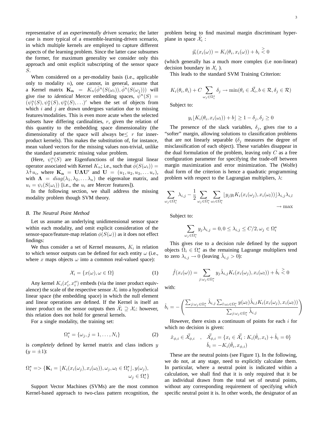representative of an *experimentally driven* scenario; the latter case is more typical of a ensemble-learning-driven scenario, in which multiple kernels are employed to capture different aspects of the learning problem. Since the latter case subsumes the former, for maximum generality we consider only this approach and omit explicit subscripting of the sensor space S.

When considered on a per-modality basis (i.e., applicable only to modality  $n$ ), one cannot, in general, assume that a Kernel matrix  $\mathbf{K}_n = K_n(\hat{\phi}^n(S(\omega_i)), \hat{\phi}^n(S(\omega_i)))$  will give rise to *identical* Mercer embedding spaces,  $\hat{\psi}^n(S)$  =  $(\psi_1^n(S), \psi_2^n(S), \psi_3^n(S), \ldots)'$  when the set of objects from which  $i$  and  $j$  are drawn undergoes variation due to missing features/modalities. This is even more acute when the selected subsets have differing cardinalities,  $r$ , given the relation of this quantity to the embedding space dimensionality (the dimensionality of the space will always be $\leq r$  for innerproduct kernels). This makes the substitution of, for instance, mean valued vectors for the missing values non-trivial, unlike the standard parametric missing value problem.

(Here,  $\psi_i^n(S)$  are Eigenfunctions of the integral linear operator associated with Kernel  $K_n$ ; i.e., such that  $\hat{\phi}(S(\omega_i))$  =  $\lambda^{\frac{1}{2}}u_i$ , where  $\mathbf{K}_n = \mathbf{U}\Lambda\mathbf{U}'$  and  $\mathbf{U} = (u_1, u_2, u_3, \dots, u_r)$ , with  $\Lambda = diag(\lambda_1, \lambda_2, \dots \lambda_n)$  the eigenvalue matrix, and  $u_i = \psi_i(S(\omega_i))$  [i.e., the  $u_i$  are Mercer features]).

In the following section, we shall address the missing modality problem though SVM theory.

#### *B. The Neutral Point Method*

Let us assume an underlying unidimensional sensor space within each modality, and omit explicit consideration of the sensor-space/feature-map relation  $\phi(S(\omega))$  as it does not effect findings:

We thus consider a set of Kernel measures,  $K_i$  in relation to which sensor outputs can be defined for each entity  $\omega$  (i.e., where x maps objects  $\omega$  into a common real-valued space):

$$
\mathcal{X}_i = \{x(\omega), \omega \in \Omega\}
$$
 (1)

Any kernel  $K_i(x'_i, x''_i)$  embeds (via the inner product equivalence) the scale of the respective sensor  $\mathcal{X}_i$  into a hypothetical linear space (the embedding space) in which the null element and linear operations are defined. If the Kernel is itself an inner product on the sensor outputs then  $\hat{\mathcal{X}}_i \supseteq \mathcal{X}_i$ : however, this relation does not hold for general kernels.

For a single modality, the training set:

$$
\Omega_i^* = \{\omega_j, j = 1, \dots, N_i\}
$$
 (2)

is *completely* defined by kernel matrix and class indices y  $(y = \pm 1)$ :

$$
\Omega_i^* = \{ \mathbf{K}_i = \left[ K_i(x_i(\omega_j), x_i(\omega_l)), \omega_j, \omega_l \in \Omega_i^* \right], y(\omega_j),
$$
  

$$
\omega_j \in \Omega_i^* \}
$$

Support Vector Machines (SVMs) are the most common Kernel-based approach to two-class pattern recognition, the

problem being to find maximal margin discriminant hyperplane in space  $\hat{\mathcal{X}}_i$ :

$$
\vec{y}_i(x_i(\omega)) = K_i(\theta_i, x_i(\omega)) + b_i \stackrel{>}{\leq} 0
$$

(which generally has a much more complex (i.e non-linear) decision boundary in  $\mathcal{X}_i$ ).

This leads to the standard SVM Training Criterion:

$$
K_i(\theta_i, \theta_i) + C \sum_{\omega_j \in \Omega_i^*} \delta_j \to \min(\theta_i \in \vec{\mathcal{X}_i}, b \in \mathcal{R}, \delta_j \in \mathcal{R})
$$

Subject to:

$$
y_i \lfloor K_i(\theta_i, x_i(\omega_l)) + b \rfloor \ge 1 - \delta_j, \delta_j \ge 0
$$

The presence of the slack variables,  $\delta_j$ , gives rise to a "softer" margin, allowing solutions to classification problems that are not linearly separable ( $\delta_j$  measures the degree of misclassification of each object). These variables disappear in the dual formulation of the problem, leaving only  $C$  as a free configuration parameter for specifying the trade-off between margin maximization and error minimization. The (Wolfe) dual form of the criterion is hence a quadratic programming problem with respect to the Lagrangian multipliers,  $\lambda$ :

$$
\sum_{\omega_j \in \Omega_i^{\star}} \lambda_{i,j} - \frac{1}{2} \sum_{\omega_j \in \Omega_i^{\star}} \sum_{\omega_l \in \Omega_i^{\star}} \left[ y_j y_l K_i(x_i(\omega_j), x_i(\omega_l)) \right] \lambda_{i,j} \lambda_{i,l} \to \max
$$

Subject to:

$$
\sum_{\omega_j \in \Omega_i^*} y_j \lambda_{i,j} = 0, 0 \le \lambda_{i,j} \le C/2, \omega_j \in \Omega_i^*
$$

This gives rise to a decision rule defined by the support objects  $\hat{\Omega}_i \in \Omega_i^*$  as the remaining Lagrange multipliers tend to zero  $\lambda_{i,j} \to 0$  (leaving  $\hat{\lambda}_{i,j} > 0$ ):

$$
\hat{f}(x_i(\omega)) = \sum_{j:\omega_j \in \Omega_i^*} y_j \hat{\lambda}_{i,j} K_i(x_i(\omega_j), x_i(\omega_l)) + \hat{b}_i \stackrel{\text{>}}{\leq} 0
$$

with:

$$
\hat{b}_i = -\left(\frac{\sum_{j:\omega_j \in \Omega_i^*} \hat{\lambda}_{i,j} \sum_{l:\omega_l \in \Omega_i^*} y(\omega_l) \hat{\lambda}_{i,l} K_i(x_i(\omega_j), x_i(\omega_l))}{\sum_{j:\omega_j \in \Omega_i^*} \hat{\lambda}_{i,j}}\right)
$$

However, there exists a continuum of points for each  $i$  for which no decision is given:

$$
\hat{x}_{\phi,i} \in \vec{\mathcal{X}}_{\phi,i} \quad , \quad \vec{\mathcal{X}}_{\phi,i} = \{ x_i \in \vec{\mathcal{X}}_i : K_i(\hat{\theta}_i, x_i) + \hat{b}_i = 0 \}
$$
\n
$$
\hat{b}_i = -K_i(\hat{\theta}_i, x_{\phi,i})
$$

These are the neutral points (see Figure 1). In the following, we do not, at any stage, need to explicitly calculate them. In particular, where a neutral point is indicated within a calculation, we shall find that it is only required that it be an individual drawn from the total set of neutral points, without any corresponding requirement of specifying *which* specific neutral point it is. In other words, the designator of an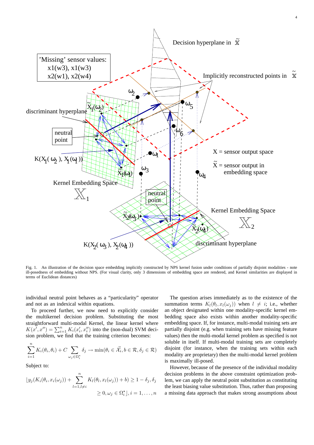

Fig. 1. An illustration of the decision space embedding implicitly constructed by NPS kernel fusion under conditions of partially disjoint modalities - note ill-posedness of embedding without NPS. (For visual clarity, only 3 dimensions of embedding space are rendered, and Kernel similarities are displayed in terms of Euclidean distances)

individual neutral point behaves as a "particularity" operator and not as an indexical within equations.

To proceed further, we now need to explicitly consider the multikernel decision problem. Substituting the most straightforward multi-modal Kernel, the linear kernel where  $K(x', x'') = \sum_{i=1}^{n} K_i(x'_i, x''_i)$  into the (non-dual) SVM decision problem, we find that the training criterion becomes:

$$
\sum_{i=1}^{n} K_i(\theta_i, \theta_i) + C \sum_{\omega_j \in \Omega_i^*} \delta_j \to \min(\theta_i \in \vec{\mathcal{X}_i}, b \in \mathcal{R}, \delta_j \in \mathcal{R})
$$

Subject to:

$$
\lfloor y_j(K_i(\theta_i, x_i(\omega_j)) + \sum_{l=1, l \neq i}^n K_l(\theta_l, x_l(\omega_j)) + b) \ge 1 - \delta_j, \delta_j
$$
  
 
$$
\ge 0, \omega_j \in \Omega_i^* \rfloor, i = 1, ..., n
$$

The question arises immediately as to the existence of the summation terms  $K_l(\theta_l, x_l(\omega_j))$  when  $l \neq i$ ; i.e., whether an object designated within one modality-specific kernel embedding space also exists within another modality-specific embedding space. If, for instance, multi-modal training sets are partially disjoint (e.g. when training sets have missing feature values) then the multi-modal kernel problem as specified is not soluble in itself. If multi-modal training sets are completely disjoint (for instance, when the training sets within each modality are proprietary) then the multi-modal kernel problem is maximally ill-posed.

4

However, because of the presence of the individual modality decision problems in the above constraint optimization problem, we can apply the neutral point substitution as constituting the least biasing value substitution. Thus, rather than proposing a missing data approach that makes strong assumptions about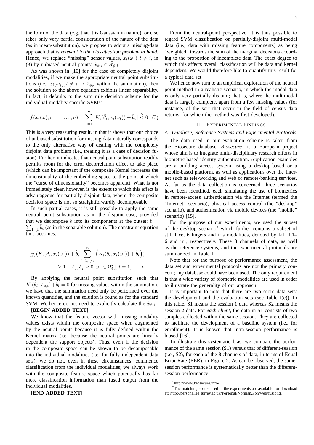the form of the data (e.g. that it is Gaussian in nature), or else takes only very partial consideration of the nature of the data (as in mean-substitution), we propose to adopt a missing-data approach that is *relevant to the classification problem in hand*. Hence, we replace "missing" sensor values,  $x_l(\omega_j)$ ,  $l \neq i$ , in (3) by unbiased neutral points:  $\hat{x}_{\phi,i} \in \hat{\mathcal{X}}_{\phi,i}$ .

As was shown in [10] for the case of completely disjoint modalities, if we make the appropriate neutral point substitutions (i.e.,  $x_l(\omega_j)$ ,  $l \neq i \rightarrow \hat{x}_{\phi,l}$  within the summation), then the solution to the above equation exhibits linear separability. In fact, it defaults to the sum rule decision scheme for the individual modality-specific SVMs:

$$
\hat{f}(x_i(\omega), i = 1, ..., n) = \sum_{1=1}^n \lfloor K_i(\hat{\theta}_i, x_i(\omega_l)) + \hat{b}_i \rfloor \stackrel{>}{\leq} 0 \quad (3)
$$

This is a very reassuring result, in that it shows that our choice of unbiased substitution for missing data naturally corresponds to the only alternative way of dealing with the completely disjoint data problem (i.e., treating it as a case of decision fusion). Further, it indicates that neutral point substitution readily permits room for the error decorrelation effect to take place (which can be important if the composite Kernel increases the dimensionality of the embedding space to the point at which the "curse of dimensionality" becomes apparent). What is not immediately clear, however, is the extent to which this effect is advantageous for partially disjoint data, where the composite decision space is not so straightforwardly decomposable.

In such partial cases, it is still possible to apply the same neutral point substitution as in the disjoint case, provided  $\sum_{1=1}^{n} \hat{b}_i$  (as in the separable solution). The constraint equation that we decompose b into its components at the outset:  $b =$ thus becomes:

$$
\lfloor y_j(K_i(\theta_i, x_i(\omega_j)) + \hat{b}_i \sum_{l=1, l \neq i}^n \left( K_l(\theta_l, x_l(\omega_j)) + \hat{b}_l \right) \rceil
$$
  
 
$$
\geq 1 - \delta_j, \delta_j \geq 0, \omega_j \in \Omega_i^* \rfloor, i = 1, \dots, n
$$

By applying the neutral point substitution such that  $K_l(\theta_l, \hat{x}_{\phi,i}) + b_l = 0$  for missing values within the summation, we have that the summation need only be performed over the known quantities, and the solution is found as for the standard SVM. We hence do not need to explicitly calculate the  $\hat{x}_{\phi,i}$ .

#### **[BEGIN ADDED TEXT]**

We know that the feature vector with missing modality values exists within the composite space when augmented by the neutral points because it is fully defined within the Kernel matrix (i.e. because the neutral points are linearly dependent the support objects). Thus, even if the decision in the composite space can be shown to be decomposable into the individual modalities (i.e. for fully independent data sets), we do not, even in these circumstances, commence classification from the individual modalities; we always work with the composite feature space which potentially has far more classification information than fused output from the individual modalities.

**[END ADDED TEXT]**

From the neutral-point perspective, it is thus possible to regard SVM classification on partially-disjoint multi-modal data (i.e., data with missing feature components) as being "weighted" towards the sum of the marginal decisions according to the proportion of incomplete data. The exact degree to which this affects overall classification will be data and kernel dependent. We would therefore like to quantify this result for a typical data set.

We hence now turn to an empirical exploration of the neutral point method in a realistic scenario, in which the modal data is only very partially disjoint; that is, where the multimodal data is largely complete, apart from a few missing values (for instance, of the sort that occur in the field of census data returns, for which the method was first developed).

#### III. EXPERIMENTAL FINDINGS

#### *A. Database, Reference Systems and Experimental Protocols*

The data used in our evaluation scheme is taken from the Biosecure database. *Biosecure*<sup>1</sup> is a European project whose aim is to integrate multi-disciplinary research efforts in biometric-based identity authentication. Application examples are a building access system using a desktop-based or a mobile-based platform, as well as applications over the Internet such as tele-working and web or remote-banking services. As far as the data collection is concerned, three scenarios have been identified, each simulating the use of biometrics in remote-access authentication via the Internet (termed the "Internet" scenario), physical access control (the "desktop" scenario), and authentication via mobile devices (the "mobile" scenario) [15].

For the purpose of our experiments, we used the subset of the desktop scenario<sup>2</sup> which further contains a subset of still face, 6 fingers and iris modalities, denoted by fa1, ft1– 6 and ir1, respectively. These 8 channels of data, as well as the reference systems, and the experimental protocols are summarized in Table I.

Note that for the purpose of performance assessment, the data set and experimental protocols are not the primary concern; any database could have been used. The only requirement is that a wide variety of biometric modalities are used in order to illustrate the generality of our approach.

It is important to note that there are two score data sets: the development and the evaluation sets (see Table I(c)). In this table, S1 means the session 1 data whereas S2 means the session 2 data. For *each client*, the data in S1 consists of two samples collected within the same session. They are collected to facilitate the development of a baseline system (i.e., for enrollment). It is known that intra-session performance is biased [16].

To illustrate this systematic bias, we compare the performance of the same session (S1) versus that of different-session (i.e., S2), for each of the 8 channels of data, in terms of Equal Error Rate (EER), in Figure 2. As can be observed, the samesession performance is systematically better than the differentsession performance.

<sup>1</sup>http://www.biosecure.info/

<sup>&</sup>lt;sup>2</sup>The matching scores used in the experiments are available for download at: http://personal.ee.surrey.ac.uk/Personal/Norman.Poh/web/fusionq.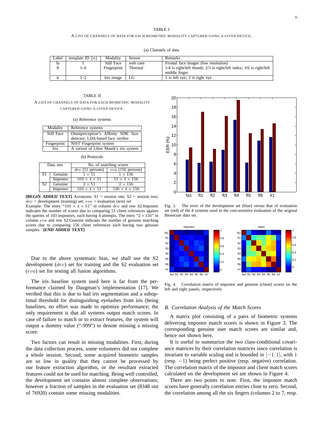#### TABLE I

#### A LIST OF CHANNELS OF DATA FOR EACH BIOMETRIC MODALITY CAPTURED USING A GIVEN DEVICE.

(a) Channels of data

| Label | template ID $\{n\}$ | Modality          | Sensor  | Remarks                                                                   |
|-------|---------------------|-------------------|---------|---------------------------------------------------------------------------|
| ta    |                     | <b>Still Face</b> | web cam | Frontal face images (low resolution)                                      |
|       | $1 - 6$             | Fingerprint       | Thermal | $1/4$ is right/left thumb; $2/5$ is right/left index; $3/6$ is right/left |
|       |                     |                   |         | middle finger                                                             |
|       | 1–2                 | Iris image        | LG      | 1 is left eye; 2 is right eye                                             |

TABLE II A LIST OF CHANNELS OF DATA FOR EACH BIOMETRIC MODALITY CAPTURED USING A GIVEN DEVICE.

|  |  | (a) Reference systems |  |
|--|--|-----------------------|--|
|--|--|-----------------------|--|

| Modality    | Reference systems                      |  |
|-------------|----------------------------------------|--|
| Still Face  | Omniperception's Affinity SDK face     |  |
|             | detector; LDA-based face verifier      |  |
| Fingerprint | NIST Fingerprint system                |  |
| <b>Iris</b> | A variant of Libor Masek's iris system |  |

(b) Protocols

| Data sets      |          | No. of matching scores   |                           |  |
|----------------|----------|--------------------------|---------------------------|--|
|                |          | dev(51 persons)          | $eva$ (156 persons)       |  |
| S1             | Genuine  | $1 \times 51$            | $1 \times 156$            |  |
|                | Impostor | $103 \times 4 \times 51$ | $51 \times 4 \times 156$  |  |
| S <sub>2</sub> | Genuine  | $2 \times 51$            | $2 \times 156$            |  |
|                | Impostor | $103 \times 4 \times 51$ | $126 \times 4 \times 156$ |  |

**[BEGIN ADDED TEXT]** Acronyms: S1 = session one; S2 = session two;  $dev = development$  (training) set;  $eva = evaluation$  (test) set

Example: The entry "103  $\times$  4  $\times$  51" in column dev and row S2: Impostor indicates the number of scores due to comparing 51 client references against the queries of 103 impostors, each having 4 attempts. The entry " $2 \times 156$ " in column eva and row S2:Genuine indicates the number of genuine matching scores due to comparing 156 client references each having two genuine samples. **[END ADDED TEXT]** 

Due to the above systematic bias, we shall use the S2 development (dev) set for training and the S2 evaluation set (eva) set for testing all fusion algorithms.

The iris baseline system used here is far from the performance claimed by Daugman's implementation [17]. We verified that this is due to bad iris segmentation and a suboptimal threshold for distinguishing eyelashes from iris (being baselines, no effort was made to optimize performance; the only requirement is that all systems output match scores. In case of failure to match or to extract features, the system will output a dummy value ("-999") to denote missing a missing score.

Two factors can result in missing modalities. First, during the data collection process, some volunteers did not complete a whole session. Second, some acquired biometric samples are so low in quality that they cannot be processed by our feature extraction algorithm, or the resultant extracted features could not be used for matching. Being well controlled, the development set contains almost complete observations; however a fraction of samples in the evaluation set (8348 out of 76920) contain some missing modalities.



Fig. 2. The error of the development set (blue) versus that of evaluation set (red) of the 8 systems used in the cost-sensitive evaluation of the original Biosecure data set.



Fig. 4. Correlation matrix of impostor and genuine (client) scores on the left and right panels, respectively

#### *B. Correlation Analysis of the Match Scores*

A matrix plot consisting of a pairs of biometric systems delivering impostor match scores is shown in Figure 3. The corresponding genuine user match scores are similar and, hence not shown here.

It is useful to summarize the two class-conditional covariance matrices by their correlation matrices since correlation is invariant to variable scaling and is bounded in  $[-1, 1]$ , with 1 (resp. −1) being perfect positive (resp. negative) correlation. The correlation matrix of the impostor and client match scores calculated on the development set are shown in Figure 4.

There are two points to note. First, the impostor match scores have generally correlation entries close to zero. Second, the correlation among all the six fingers (columns 2 to 7, resp.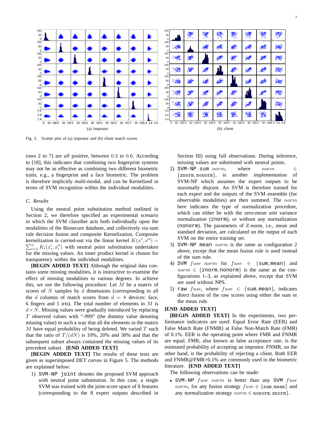

(a) impostor

Fig. 3. Scatter plot of (a) impostor and (b) client match scores

rows 2 to 7) are *all* positive, between 0.3 to 0.6. According to [18], this indicates that combining two fingerprint systems may not be as effective as combining two different biometric traits, e.g., a fingerprint and a face biometric. The problem is therefore implicitly *multi*-modal, and can be Kernelized in terms of SVM recognition within the individual modalities.

#### *C. Results*

Using the neutral point substitution method outlined in Section 2, we therefore specified an experimental scenario in which the SVM classifier acts both individually upon the modalities of the Biosecure database, and collectively via sum rule decision fusion and composite Kernelization. Composite kernelization is carried-out via the linear kernel  $K(x', x'') =$  $\sum_{i=1}^{n} K_i(x'_i, x''_i)$  with neutral point substitution undertaken for the missing values. An inner product kernel is chosen for transparency within the individual modalities.

**[BEGIN ADDED TEXT]** Although the original data contains some missing modalities, it is instructive to examine the effect of missing modalities to various degrees. In achieve this, we use the following procedure: Let M be a matrix of scores of  $N$  samples by  $d$  dimensions (corresponding to all the d columns of match scores from  $d = 8$  devices: face, 6 fingers and 1 iris). The total number of elements in  $M$  is  $d \times N$ . Missing values were gradually introduced by replacing  $T$  observed values with "-999" (the dummy value denoting missing value) in such a way that all the elements in the matrix  $M$  have equal probability of being deleted. We varied  $T$  such that the ratio of  $T/(dN)$  is 10%, 20% and 30% and that the subsequent subset always contained the missing values of its precedent subset. **[END ADDED TEXT]**

**[BEGIN ADDED TEXT]** The results of these tests are given as superimposed DET curves in Figure 5. The methods are explained below:

1) SVM-NP joint denotes the proposed SVM approach with neutral point substitution. In this case, a single SVM was trained with the joint-score space of 8 features (corresponding to the 8 expert outputs described in



Section III) using full observations. During inference, missing values are substituted with neutral points.

- 2) SVM-NP sum norm, where norm  $\in$ {znorm, nonorm}, is another implementation of SVM-NP which assumes the expert outputs to be maximally disjoint. An SVM is therefore trained for each expert and the outputs of the SVM ensemble (for observable modalities) are then summed. The norm here indicates the type of normalization procedure, which can either be with the zero-mean unit variance normalization (znorm), or without any normalization (nonorm). The parameters of Z-norm, i.e., mean and standard deviation, are calculated on the output of each SVM on the entire training set.
- 3) SVM-NP mean norm is the same as configuration 2 above, except that the mean fusion rule is used instead of the sum rule.
- 4) SVM fuse norm for fuse  $\in$  {sum, mean} and  $norm \in \{znorm, nonorm\}$  is the same as the configurations 1–3, as explained above, except that SVM are used without NPS.
- 5) raw fuse, where  $fuse \in \{\text{sum}, \text{mean}\},\}$  indicates direct fusion of the raw scores using either the sum or the mean rule.

### **[END ADDED TEXT]**

**[BEGIN ADDED TEXT]** In the experiments, two performance indicators are used: Equal Error Rate (EER) and False Match Rate (FNMR) at False Non-Match Rate (FMR) of 0.1%. EER is the operating point where FMR and FNMR are equal. FMR, also known as false acceptance rate, is the estimated probability of accepting an impostor. FNMR, on the other hand, is the probability of rejecting a client. Both EER and FNMR@FMR=0.1% are commonly used in the biometric literature. **[END ADDED TEXT]**

The following observations can be made:

• SVM-NP  $fuse\ norm$  is better than any SVM  $fuse$ *norm*, for any fusion strategy  $fuse \in \{sum,mean\}$  and any normalization strategy  $norm \in nonorm, znorm$ .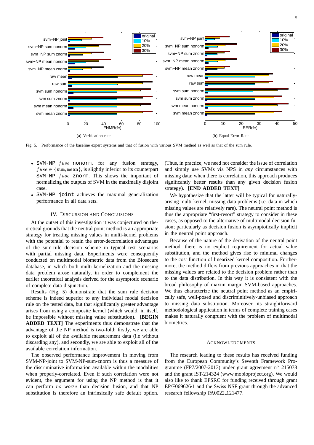8



Fig. 5. Performance of the baseline expert systems and that of fusion with various SVM method as well as that of the sum rule.

- SVM-NP  $fuse$  nonorm, for any fusion strategy,  $fuse \in {sum, mean},$  is slightly inferior to its counterpart SVM-NP fuse znorm. This shows the important of normalizing the outputs of SVM in the maximally disjoint case.
- SVM-NP joint achieves the maximal generalization performance in all data sets.

#### IV. DISCUSSION AND CONCLUSIONS

At the outset of this investigation it was conjectured on theoretical grounds that the neutral point method is an appropriate strategy for treating missing values in multi-kernel problems with the potential to retain the error-decorrelation advantages of the sum-rule decision scheme in typical test scenarios with partial missing data. Experiments were consequently conducted on multimodal biometric data from the Biosecure database, in which both multi-kernelization and the missing data problem arose naturally, in order to complement the earlier theoretical analysis derived for the asymptotic scenario of complete data-disjunction.

Results (Fig. 5) demonstrate that the sum rule decision scheme is indeed superior to any individual modal decision rule on the tested data, but that significantly greater advantage arises from using a composite kernel (which would, in itself, be impossible without missing value substitution). **[BEGIN ADDED TEXT]** The experiments thus demonstrate that the advantage of the NP method is two-fold; firstly, we are able to exploit all of the available measurement data (i.e without discarding any), and secondly, we are able to exploit all of the available correlation information.

The observed performance improvement in moving from SVM-NP-joint to SVM-NP-sum-znorm is thus a measure of the discriminative information available within the modalities when properly-correlated. Even if such correlation were not evident, the argument for using the NP method is that it can perform *no worse* than decision fusion, and that NP substitution is therefore an intrinsically safe default option.

(Thus, in practice, we need not consider the issue of correlation and simply use SVMs via NPS in *any* circumstances with missing data; when there is correlation, this approach produces significantly better results than any given decision fusion strategy). **[END ADDED TEXT]**

We hypothesize that the latter will be typical for naturallyarising multi-kernel, missing-data problems (i.e. data in which missing values are relatively rare). The neutral point method is thus the appropriate "first-resort" strategy to consider in these cases, as opposed to the alternative of multimodal decision fusion; particularly as decision fusion is asymptotically implicit in the neutral point approach.

Because of the nature of the derivation of the neutral point method, there is no explicit requirement for actual value substitution, and the method gives rise to minimal changes to the cost function of linearized kernel composition. Furthermore, the method differs from previous approaches in that the missing values are related to the decision problem rather than to the data distribution. In this way it is consistent with the broad philosophy of maxim margin SVM-based approaches. We thus characterize the neutral point method as an empirically safe, well-posed and discriminitively-unbiased approach to missing data substitution. Moreover, its straightforward methodological application in terms of complete training cases makes it naturally congruent with the problem of multimodal biometrics.

#### **ACKNOWLEDGMENTS**

The research leading to these results has received funding from the European Community's Seventh Framework Programme (FP7/2007-2013) under grant agreement  $n^{\circ}$  215078 and the grant IST-214324 (www.mobioproject.org). We would also like to thank EPSRC for funding received through grant EP/F069626/1 and the Swiss NSF grant through the advanced research fellowship PA0022 121477.